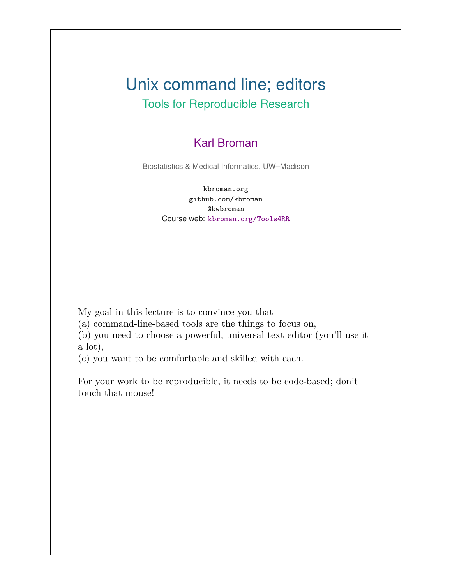#### Unix command line; editors Tools for Reproducible Research

#### Karl Broman

Biostatistics & Medical Informatics, UW–Madison

kbroman.org github.com/kbroman @kwbroman Course web: kbroman.org/Tools4RR

My goal in this lecture is to convince you that

(a) command-line-based tools are the things to focus on,

(b) you need to choose a powerful, universal text editor (you'll use it a lot),

(c) you want to be comfortable and skilled with each.

For your work to be reproducible, it needs to be code-based; don't touch that mouse!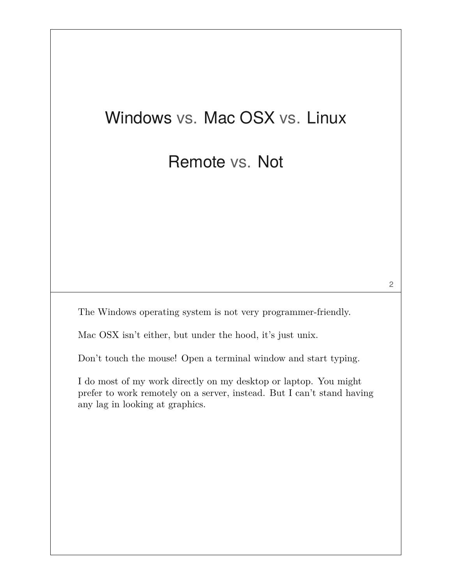# Windows vs. Mac OSX vs. Linux

#### Remote vs. Not

The Windows operating system is not very programmer-friendly.

Mac OSX isn't either, but under the hood, it's just unix.

Don't touch the mouse! Open a terminal window and start typing.

I do most of my work directly on my desktop or laptop. You might prefer to work remotely on a server, instead. But I can't stand having any lag in looking at graphics.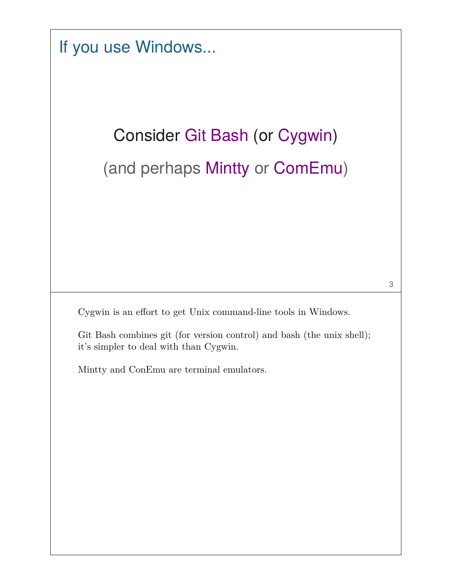If you use Windows...

# Consider Git Bash (or Cygwin) (and perhaps Mintty or ComEmu)

Cygwin is an effort to get Unix command-line tools in Windows.

Git Bash combines git (for version control) and bash (the unix shell); it's simpler to deal with than Cygwin.

Mintty and ConEmu are terminal emulators.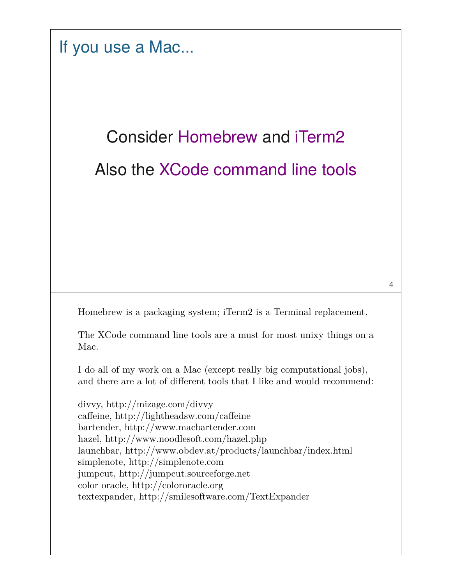If you use a Mac...

# Consider Homebrew and iTerm2 Also the XCode command line tools

Homebrew is a packaging system; iTerm2 is a Terminal replacement.

The XCode command line tools are a must for most unixy things on a Mac.

I do all of my work on a Mac (except really big computational jobs), and there are a lot of different tools that I like and would recommend:

divvy, http://mizage.com/divvy caffeine, http://lightheadsw.com/caffeine bartender, http://www.macbartender.com hazel, http://www.noodlesoft.com/hazel.php launchbar, http://www.obdev.at/products/launchbar/index.html simplenote, http://simplenote.com jumpcut, http://jumpcut.sourceforge.net color oracle, http://colororacle.org textexpander, http://smilesoftware.com/TextExpander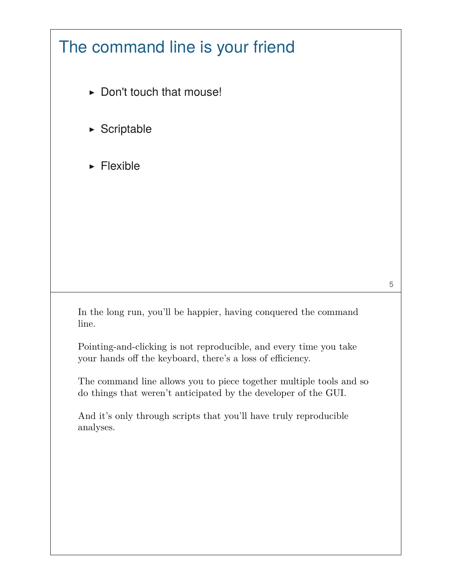

And it's only through scripts that you'll have truly reproducible analyses.

5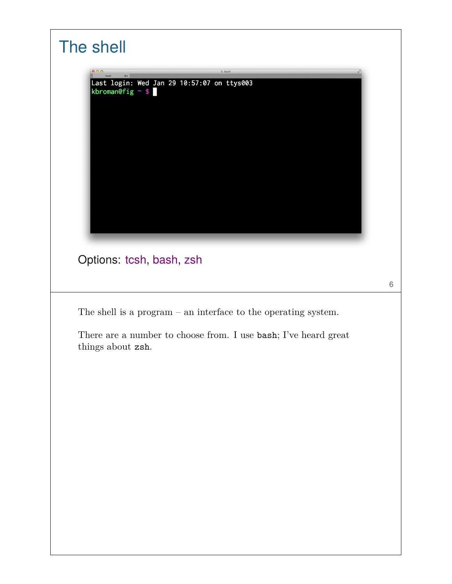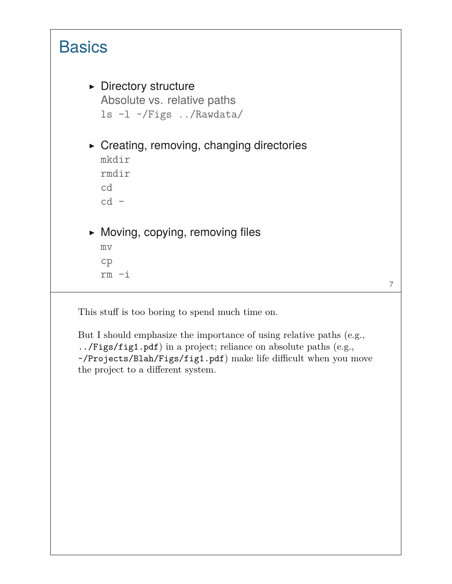

This stuff is too boring to spend much time on.

But I should emphasize the importance of using relative paths (e.g., ../Figs/fig1.pdf) in a project; reliance on absolute paths (e.g., ~/Projects/Blah/Figs/fig1.pdf) make life difficult when you move the project to a different system.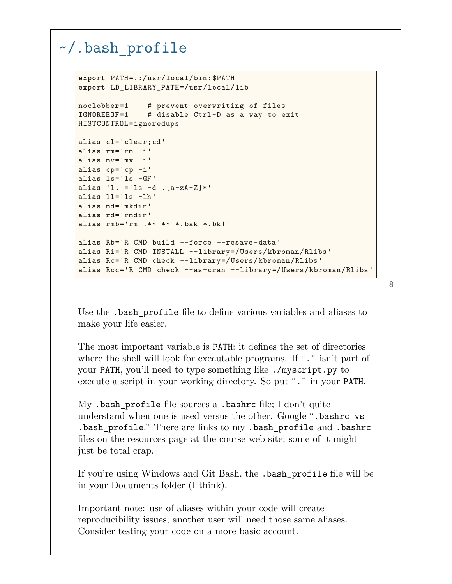#### ~/.bash\_profile

```
export PATH=.:/usr/local/bin:$PATH
export LD_LIBRARY_PATH=/usr/local/lib
noclobber=1 # prevent overwriting of files
IGNOREEOF=1 # disable Ctrl-D as a way to exit
HISTCONTROL=ignoredups
alias cl='clear;cd'
alias rm='rm -i'
alias mv='mv -i'
alias cp='cp -i'
alias ls='ls -GF'
alias 'l.'='ls -d .[a-zA-Z]*'
alias ll='ls -lh'
alias md='mkdir'
alias rd='rmdir'
alias rmb='rm .*~ *~ *.bak *.bk!'
alias Rb='R CMD build --force --resave-data'
alias Ri='R CMD INSTALL --library=/Users/kbroman/Rlibs'
alias Rc='R CMD check --library=/Users/kbroman/Rlibs'
alias Rcc='R CMD check --as-cran --library=/Users/kbroman/Rlibs'
```
Use the .bash\_profile file to define various variables and aliases to make your life easier.

The most important variable is PATH: it defines the set of directories where the shell will look for executable programs. If "." isn't part of your PATH, you'll need to type something like ./myscript.py to execute a script in your working directory. So put "." in your PATH.

My .bash\_profile file sources a .bashrc file; I don't quite understand when one is used versus the other. Google ".bashrc vs .bash\_profile." There are links to my .bash\_profile and .bashrc files on the resources page at the course web site; some of it might just be total crap.

If you're using Windows and Git Bash, the .bash\_profile file will be in your Documents folder (I think).

Important note: use of aliases within your code will create reproducibility issues; another user will need those same aliases. Consider testing your code on a more basic account.

```
8
```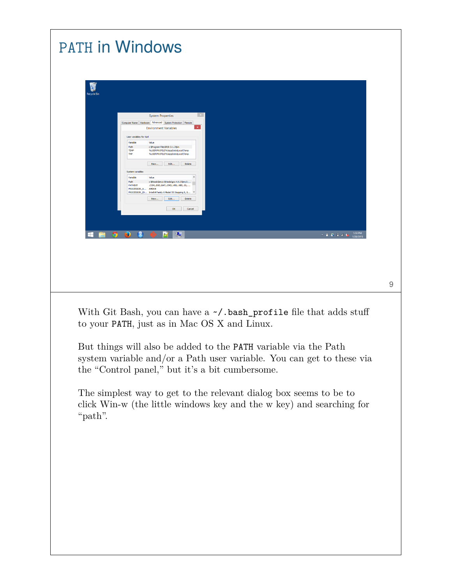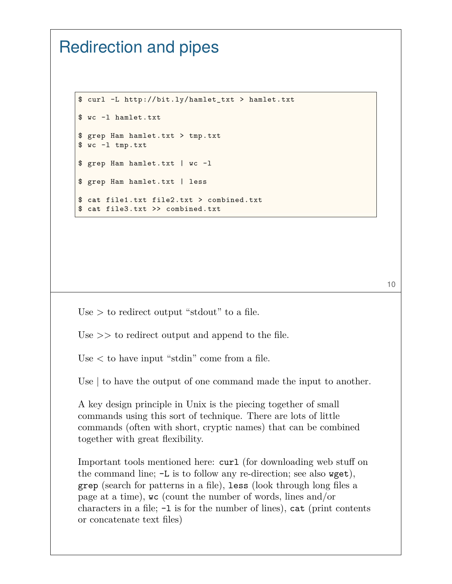#### Redirection and pipes

```
$ curl -L http://bit.ly/hamlet_txt > hamlet.txt
$ wc -l hamlet.txt
$ grep Ham hamlet.txt > tmp.txt
$ wc -l tmp.txt
$ grep Ham hamlet.txt | wc -l
$ grep Ham hamlet.txt | less
$ cat file1.txt file2.txt > combined.txt
$ cat file3.txt >> combined.txt
```
Use  $>$  to redirect output "stdout" to a file.

Use  $\gg$  to redirect output and append to the file.

Use < to have input "stdin" come from a file.

Use | to have the output of one command made the input to another.

A key design principle in Unix is the piecing together of small commands using this sort of technique. There are lots of little commands (often with short, cryptic names) that can be combined together with great flexibility.

Important tools mentioned here: curl (for downloading web stuff on the command line; -L is to follow any re-direction; see also wget), grep (search for patterns in a file), less (look through long files a page at a time), wc (count the number of words, lines and/or characters in a file;  $-1$  is for the number of lines), cat (print contents or concatenate text files)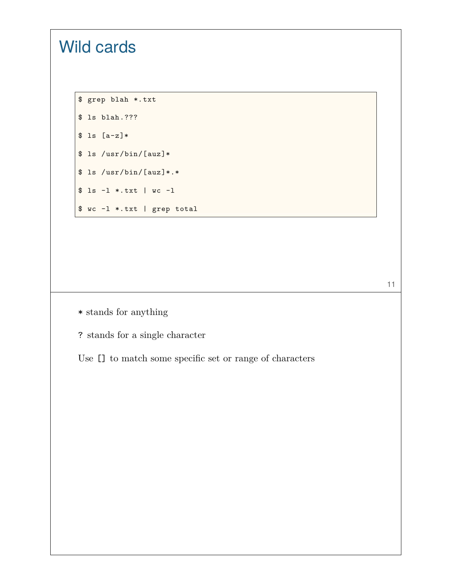# \$ grep blah \*.txt \$ ls blah.???  $$ 1s [a-z]*$ \$ ls /usr/bin/[auz]\* \$ ls /usr/bin/[auz]\*.\* \$ ls -l \*.txt | wc -l \$ wc -l \*.txt | grep total

Wild cards

 $\ast$  stands for anything

? stands for a single character

Use [] to match some specific set or range of characters

11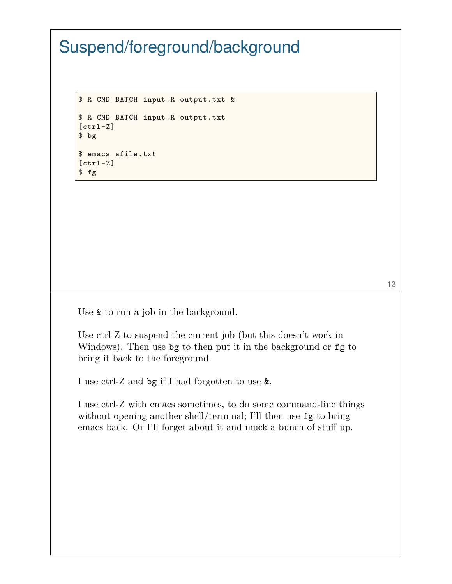## Suspend/foreground/background

\$ R CMD BATCH input.R output.txt & \$ R CMD BATCH input.R output.txt [ctrl-Z] \$ **bg** \$ emacs afile.txt [ctrl-Z] \$ **fg**

Use **&** to run a job in the background.

Use ctrl-Z to suspend the current job (but this doesn't work in Windows). Then use bg to then put it in the background or fg to bring it back to the foreground.

I use ctrl-Z and bg if I had forgotten to use &.

I use ctrl-Z with emacs sometimes, to do some command-line things without opening another shell/terminal; I'll then use fg to bring emacs back. Or I'll forget about it and muck a bunch of stuff up.

12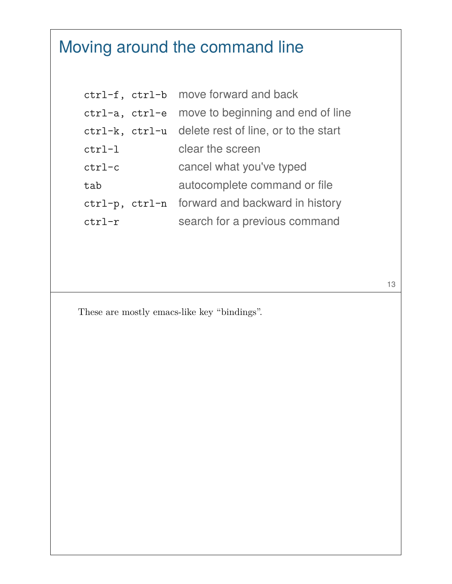# Moving around the command line

|           | ctrl-f, ctrl-b move forward and back                |
|-----------|-----------------------------------------------------|
|           | ctrl-a, ctrl-e move to beginning and end of line    |
|           | ctrl-k, ctrl-u delete rest of line, or to the start |
| $ctrl$ -l | clear the screen                                    |
| $ctr1-c$  | cancel what you've typed                            |
| tab       | autocomplete command or file                        |
|           | ctrl-p, ctrl-n forward and backward in history      |
| $ctr1-r$  | search for a previous command                       |

13

These are mostly emacs-like key "bindings".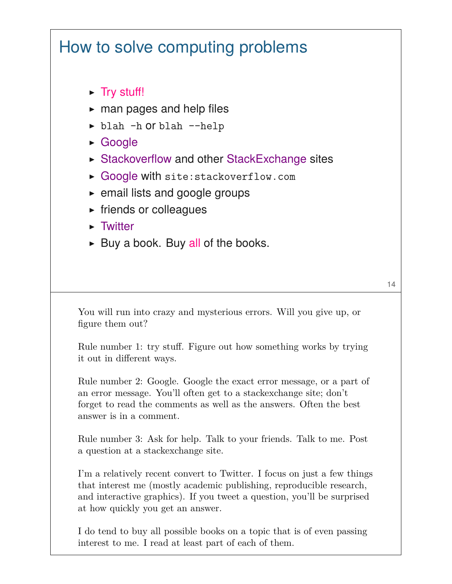## How to solve computing problems

- ▶ Try stuff!
- $\blacktriangleright$  man pages and help files
- ▶ blah -h or blah --help
- ▶ Google
- ▶ Stackoverflow and other StackExchange sites
- ▶ Google with site:stackoverflow.com
- ▶ email lists and google groups
- ▶ friends or colleagues
- ▶ Twitter
- $\triangleright$  Buy a book. Buy all of the books.

You will run into crazy and mysterious errors. Will you give up, or figure them out?

Rule number 1: try stuff. Figure out how something works by trying it out in different ways.

Rule number 2: Google. Google the exact error message, or a part of an error message. You'll often get to a stackexchange site; don't forget to read the comments as well as the answers. Often the best answer is in a comment.

Rule number 3: Ask for help. Talk to your friends. Talk to me. Post a question at a stackexchange site.

I'm a relatively recent convert to Twitter. I focus on just a few things that interest me (mostly academic publishing, reproducible research, and interactive graphics). If you tweet a question, you'll be surprised at how quickly you get an answer.

I do tend to buy all possible books on a topic that is of even passing interest to me. I read at least part of each of them.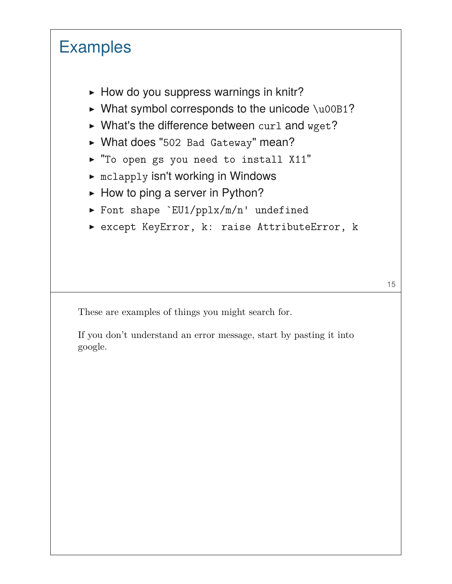# **Examples**

- $\blacktriangleright$  How do you suppress warnings in knitr?
- $\triangleright$  What symbol corresponds to the unicode \u00B1?
- $\triangleright$  What's the difference between curl and wget?
- ▶ What does "502 Bad Gateway" mean?
- ▶ "To open gs you need to install X11"
- ▶ mclapply isn't working in Windows
- $\blacktriangleright$  How to ping a server in Python?
- ▶ Font shape `EU1/pplx/m/n' undefined
- ▶ except KeyError, k: raise AttributeError, k

These are examples of things you might search for.

If you don't understand an error message, start by pasting it into google.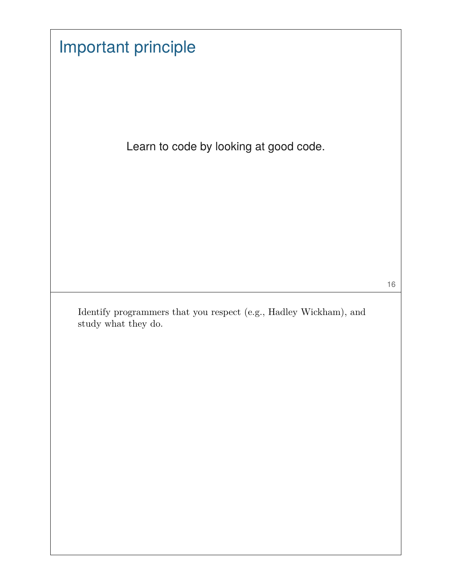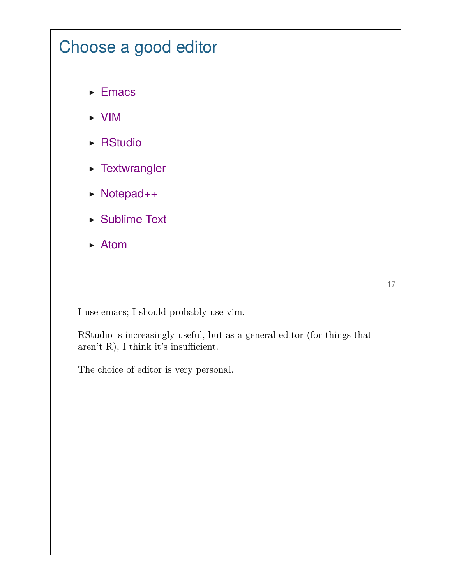## Choose a good editor

- ▶ Emacs
- ▶ VIM
- ▶ RStudio
- ▶ Textwrangler
- ▶ Notepad++
- ▶ Sublime Text
- ▶ Atom

17

I use emacs; I should probably use vim.

RStudio is increasingly useful, but as a general editor (for things that aren't R), I think it's insufficient.

The choice of editor is very personal.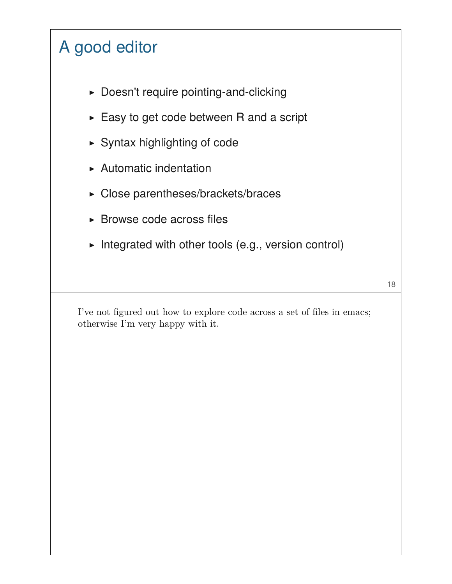# A good editor

- ▶ Doesn't require pointing-and-clicking
- ▶ Easy to get code between R and a script
- ▶ Syntax highlighting of code
- ▶ Automatic indentation
- ▶ Close parentheses/brackets/braces
- ▶ Browse code across files
- ▶ Integrated with other tools (e.g., version control)

I've not figured out how to explore code across a set of files in emacs; otherwise I'm very happy with it.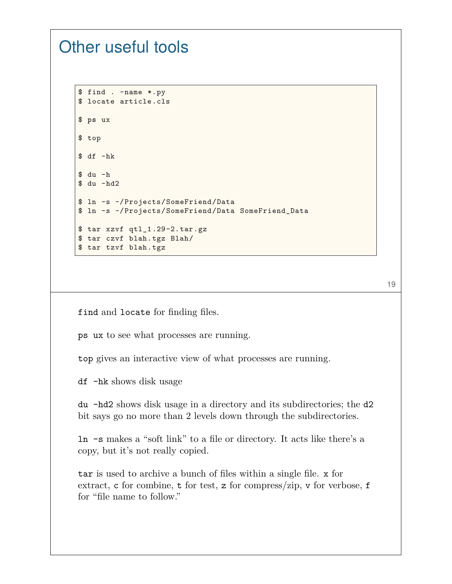#### Other useful tools

```
$ find . -name *.py
$ locate article.cls
$ ps ux
$ top
$ df -hk
$ du -h
$ du -hd2
$ ln -s ~/Projects/SomeFriend/Data
$ ln -s ~/Projects/SomeFriend/Data SomeFriend_Data
$ tar xzvf qtl_1.29-2.tar.gz
$ tar czvf blah.tgz Blah/
$ tar tzvf blah.tgz
```
19

find and locate for finding files.

ps ux to see what processes are running.

top gives an interactive view of what processes are running.

df -hk shows disk usage

du -hd2 shows disk usage in a directory and its subdirectories; the d2 bit says go no more than 2 levels down through the subdirectories.

ln -s makes a "soft link" to a file or directory. It acts like there's a copy, but it's not really copied.

tar is used to archive a bunch of files within a single file. x for extract, c for combine, t for test, z for compress/zip, v for verbose, f for "file name to follow."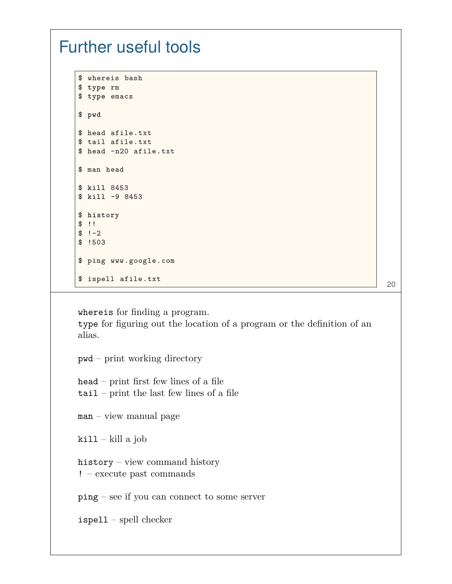#### Further useful tools

```
$ whereis bash
$ type rm
$ type emacs
$ pwd
$ head afile.txt
$ tail afile.txt
$ head -n20 afile.txt
$ man head
$ kill 8453
$ kill -9 8453
$ history
$ !!
$ !-2$ !503
$ ping www.google.com
$ ispell afile.txt
```
20

whereis for finding a program. type for figuring out the location of a program or the definition of an alias. pwd – print working directory head – print first few lines of a file tail – print the last few lines of a file man – view manual page  $kill - kill a job$ history – view command history ! – execute past commands ping – see if you can connect to some server ispell – spell checker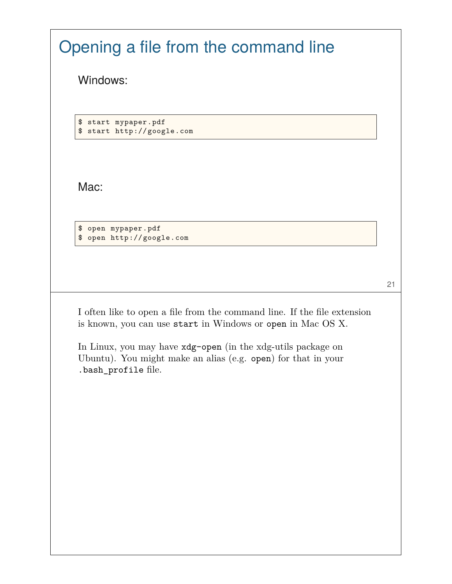| Opening a file from the command line                                                                                                                    |  |
|---------------------------------------------------------------------------------------------------------------------------------------------------------|--|
| Windows:                                                                                                                                                |  |
|                                                                                                                                                         |  |
| \$ start mypaper.pdf<br>\$ start http://google.com                                                                                                      |  |
|                                                                                                                                                         |  |
| Mac:                                                                                                                                                    |  |
|                                                                                                                                                         |  |
| \$ open mypaper.pdf<br>\$ open http://google.com                                                                                                        |  |
|                                                                                                                                                         |  |
|                                                                                                                                                         |  |
| I often like to open a file from the command line. If the file extension<br>is known, you can use start in Windows or open in Mac OS X.                 |  |
| In Linux, you may have $xdg$ -open (in the xdg-utils package on<br>Ubuntu). You might make an alias (e.g. open) for that in your<br>.bash_profile file. |  |
|                                                                                                                                                         |  |
|                                                                                                                                                         |  |
|                                                                                                                                                         |  |
|                                                                                                                                                         |  |
|                                                                                                                                                         |  |
|                                                                                                                                                         |  |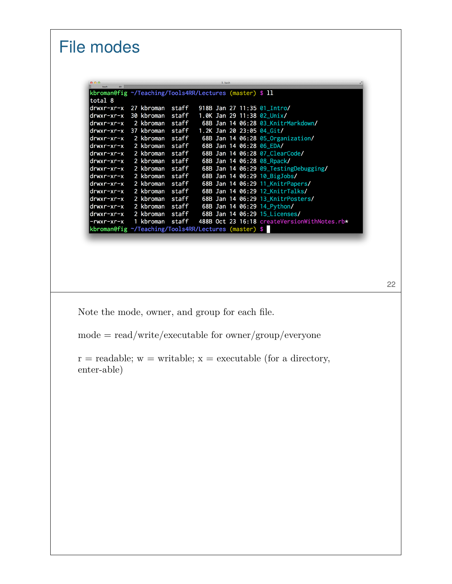#### File modes kbroman@fig ~/Teaching/Tools4RR/Lectures (master) \$ 11 total 8 drwxr-xr-x 27 kbroman staff 918B Jan 27 11:35 01\_Intro/ staff  $drwxr-xr-x$ 30 kbroman 1.0K Jan 29 11:38 02\_Unix/ 2 kbroman staff 68B Jan 14 06:28 03\_KnitrMarkdown/ drwxr-xr-x 37 kbroman staff 1.2K Jan 20 23:05 04\_Git/ drwxr-xr-x drwxr-xr-x 2 kbroman staff 68B Jan 14 06:28 05\_Organization/ drwxr-xr-x 2 kbroman staff 68B Jan 14 06:28 06\_EDA/ 2 kbroman 68B Jan 14 06:28 07\_ClearCode/ drwxr-xr-x staff  $drwxr-xr-x$ 68B Jan 14 06:28 08\_Rpack/ 2 kbroman staff 2 kbroman 68B Jan 14 06:29 09\_TestingDebugging/ drwxr-xr-x staff 2 kbroman drwxr-xr-x staff 68B Jan 14 06:29 10\_BigJobs/  $drwxr-xr-x$ 2 kbroman staff 68B Jan 14 06:29 11\_KnitrPapers/ drwxr-xr-x 2 kbroman staff 68B Jan 14 06:29 12\_KnitrTalks/ 2 kbroman 68B Jan 14 06:29 13\_KnitrPosters/ drwxr-xr-x staff drwxr-xr-x 2 kbroman staff 68B Jan 14 06:29 14\_Python/ drwxr-xr-x 2 kbroman staff 68B Jan 14 06:29 15\_Licenses/ 488B Oct 23 16:18 createVersionWithNotes.rb\* 1 kbroman staff -rwxr-xr-x kbroman@fig ~/Teaching/Tools4RR/Lectures (master) \$

22

Note the mode, owner, and group for each file.

 $mode = read/write/execute$  for owner/group/everyone

 $r =$  readable;  $w =$  writable;  $x =$  executable (for a directory, enter-able)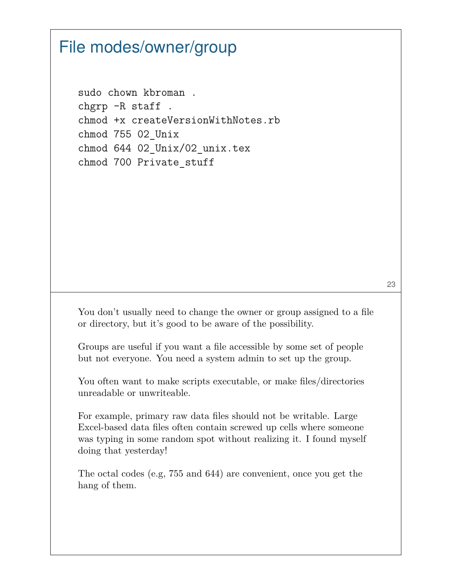### File modes/owner/group

```
sudo chown kbroman .
chgrp -R staff .
chmod +x createVersionWithNotes.rb
chmod 755 02_Unix
chmod 644 02_Unix/02_unix.tex
chmod 700 Private_stuff
```
You don't usually need to change the owner or group assigned to a file or directory, but it's good to be aware of the possibility.

Groups are useful if you want a file accessible by some set of people but not everyone. You need a system admin to set up the group.

You often want to make scripts executable, or make files/directories unreadable or unwriteable.

For example, primary raw data files should not be writable. Large Excel-based data files often contain screwed up cells where someone was typing in some random spot without realizing it. I found myself doing that yesterday!

The octal codes (e.g, 755 and 644) are convenient, once you get the hang of them.